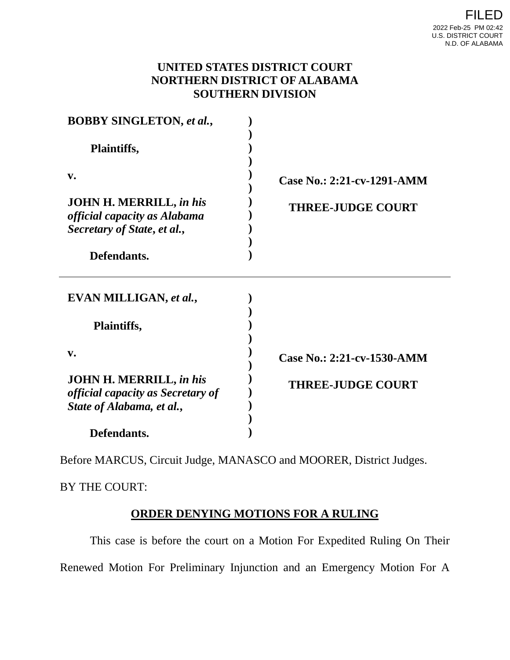## **UNITED STATES DISTRICT COURT NORTHERN DISTRICT OF ALABAMA SOUTHERN DIVISION**

| <b>BOBBY SINGLETON, et al.,</b><br><b>Plaintiffs,</b>                                                   |                            |
|---------------------------------------------------------------------------------------------------------|----------------------------|
|                                                                                                         |                            |
| <b>JOHN H. MERRILL, in his</b><br>official capacity as Alabama<br>Secretary of State, et al.,           | <b>THREE-JUDGE COURT</b>   |
| Defendants.                                                                                             |                            |
| EVAN MILLIGAN, et al.,                                                                                  |                            |
| Plaintiffs,                                                                                             |                            |
| $V_{\bullet}$                                                                                           | Case No.: 2:21-cv-1530-AMM |
| <b>JOHN H. MERRILL, in his</b><br><i>official capacity as Secretary of</i><br>State of Alabama, et al., | <b>THREE-JUDGE COURT</b>   |
| Defendants.                                                                                             |                            |

Before MARCUS, Circuit Judge, MANASCO and MOORER, District Judges.

BY THE COURT:

## **ORDER DENYING MOTIONS FOR A RULING**

This case is before the court on a Motion For Expedited Ruling On Their Renewed Motion For Preliminary Injunction and an Emergency Motion For A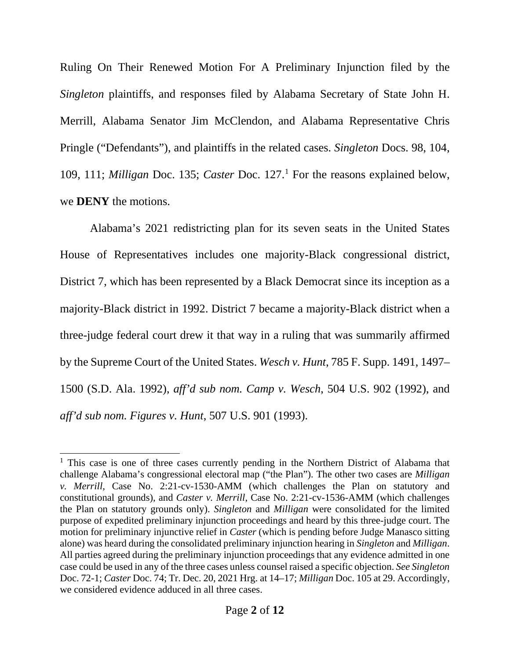Ruling On Their Renewed Motion For A Preliminary Injunction filed by the *Singleton* plaintiffs, and responses filed by Alabama Secretary of State John H. Merrill, Alabama Senator Jim McClendon, and Alabama Representative Chris Pringle ("Defendants"), and plaintiffs in the related cases. *Singleton* Docs. 98, 104, 109, 111; *Milligan* Doc. 135; *Caster* Doc. 127. [1](#page-1-0) For the reasons explained below, we **DENY** the motions.

Alabama's 2021 redistricting plan for its seven seats in the United States House of Representatives includes one majority-Black congressional district, District 7, which has been represented by a Black Democrat since its inception as a majority-Black district in 1992. District 7 became a majority-Black district when a three-judge federal court drew it that way in a ruling that was summarily affirmed by the Supreme Court of the United States. *Wesch v. Hunt*, 785 F. Supp. 1491, 1497– 1500 (S.D. Ala. 1992), *aff'd sub nom. Camp v. Wesch*, 504 U.S. 902 (1992), and *aff'd sub nom. Figures v. Hunt*, 507 U.S. 901 (1993).

<span id="page-1-0"></span><sup>&</sup>lt;sup>1</sup> This case is one of three cases currently pending in the Northern District of Alabama that challenge Alabama's congressional electoral map ("the Plan"). The other two cases are *Milligan v. Merrill*, Case No. 2:21-cv-1530-AMM (which challenges the Plan on statutory and constitutional grounds), and *Caster v. Merrill*, Case No. 2:21-cv-1536-AMM (which challenges the Plan on statutory grounds only). *Singleton* and *Milligan* were consolidated for the limited purpose of expedited preliminary injunction proceedings and heard by this three-judge court. The motion for preliminary injunctive relief in *Caster* (which is pending before Judge Manasco sitting alone) was heard during the consolidated preliminary injunction hearing in *Singleton* and *Milligan*. All parties agreed during the preliminary injunction proceedings that any evidence admitted in one case could be used in any of the three cases unless counsel raised a specific objection. *See Singleton*  Doc. 72-1; *Caster* Doc. 74; Tr. Dec. 20, 2021 Hrg. at 14–17; *Milligan* Doc. 105 at 29. Accordingly, we considered evidence adduced in all three cases.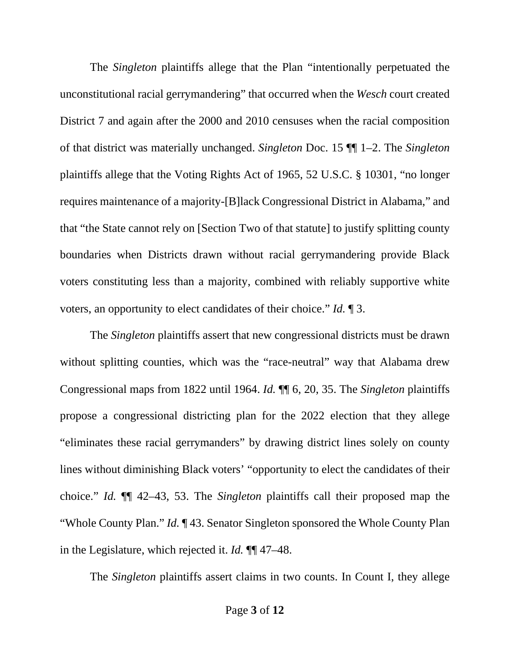The *Singleton* plaintiffs allege that the Plan "intentionally perpetuated the unconstitutional racial gerrymandering" that occurred when the *Wesch* court created District 7 and again after the 2000 and 2010 censuses when the racial composition of that district was materially unchanged. *Singleton* Doc. 15 ¶¶ 1–2. The *Singleton*  plaintiffs allege that the Voting Rights Act of 1965, 52 U.S.C. § 10301, "no longer requires maintenance of a majority-[B]lack Congressional District in Alabama," and that "the State cannot rely on [Section Two of that statute] to justify splitting county boundaries when Districts drawn without racial gerrymandering provide Black voters constituting less than a majority, combined with reliably supportive white voters, an opportunity to elect candidates of their choice." *Id.* ¶ 3.

The *Singleton* plaintiffs assert that new congressional districts must be drawn without splitting counties, which was the "race-neutral" way that Alabama drew Congressional maps from 1822 until 1964. *Id.* ¶¶ 6, 20, 35. The *Singleton* plaintiffs propose a congressional districting plan for the 2022 election that they allege "eliminates these racial gerrymanders" by drawing district lines solely on county lines without diminishing Black voters' "opportunity to elect the candidates of their choice." *Id.* ¶¶ 42–43, 53. The *Singleton* plaintiffs call their proposed map the "Whole County Plan." *Id.* ¶ 43. Senator Singleton sponsored the Whole County Plan in the Legislature, which rejected it. *Id.* ¶¶ 47–48.

The *Singleton* plaintiffs assert claims in two counts. In Count I, they allege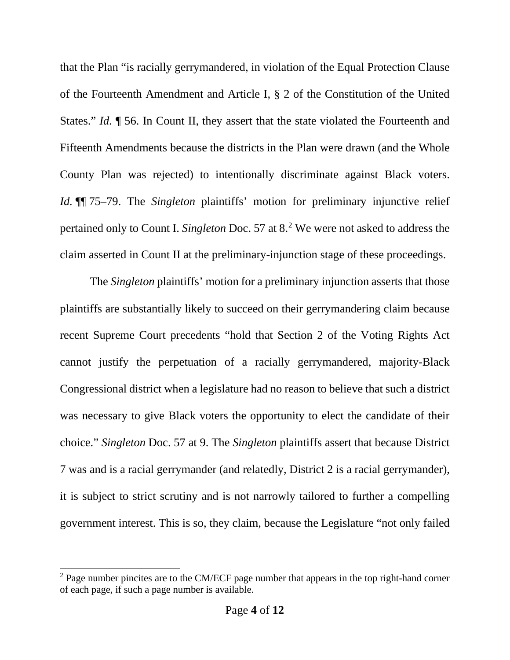that the Plan "is racially gerrymandered, in violation of the Equal Protection Clause of the Fourteenth Amendment and Article I, § 2 of the Constitution of the United States." *Id.* ¶ 56. In Count II, they assert that the state violated the Fourteenth and Fifteenth Amendments because the districts in the Plan were drawn (and the Whole County Plan was rejected) to intentionally discriminate against Black voters. *Id.* ¶¶ 75–79. The *Singleton* plaintiffs' motion for preliminary injunctive relief pertained only to Count I. *Singleton* Doc. 57 at 8.[2](#page-3-0) We were not asked to address the claim asserted in Count II at the preliminary-injunction stage of these proceedings.

The *Singleton* plaintiffs' motion for a preliminary injunction asserts that those plaintiffs are substantially likely to succeed on their gerrymandering claim because recent Supreme Court precedents "hold that Section 2 of the Voting Rights Act cannot justify the perpetuation of a racially gerrymandered, majority-Black Congressional district when a legislature had no reason to believe that such a district was necessary to give Black voters the opportunity to elect the candidate of their choice." *Singleton* Doc. 57 at 9. The *Singleton* plaintiffs assert that because District 7 was and is a racial gerrymander (and relatedly, District 2 is a racial gerrymander), it is subject to strict scrutiny and is not narrowly tailored to further a compelling government interest. This is so, they claim, because the Legislature "not only failed

<span id="page-3-0"></span> $2$  Page number pincites are to the CM/ECF page number that appears in the top right-hand corner of each page, if such a page number is available.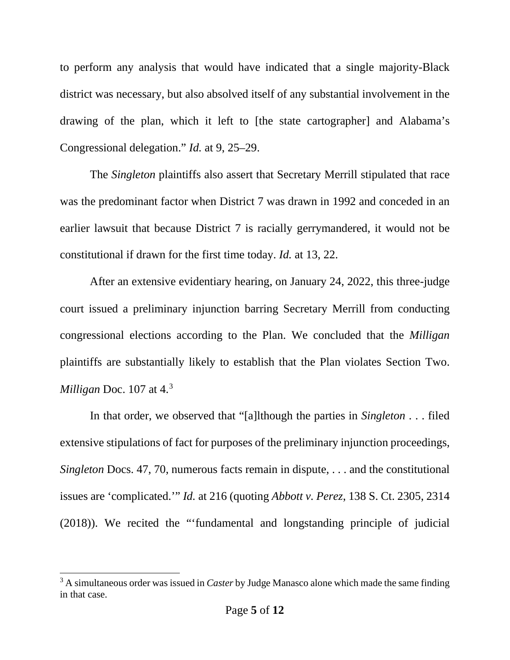to perform any analysis that would have indicated that a single majority-Black district was necessary, but also absolved itself of any substantial involvement in the drawing of the plan, which it left to [the state cartographer] and Alabama's Congressional delegation." *Id.* at 9, 25–29.

The *Singleton* plaintiffs also assert that Secretary Merrill stipulated that race was the predominant factor when District 7 was drawn in 1992 and conceded in an earlier lawsuit that because District 7 is racially gerrymandered, it would not be constitutional if drawn for the first time today. *Id.* at 13, 22.

After an extensive evidentiary hearing, on January 24, 2022, this three-judge court issued a preliminary injunction barring Secretary Merrill from conducting congressional elections according to the Plan. We concluded that the *Milligan*  plaintiffs are substantially likely to establish that the Plan violates Section Two. *Milligan* Doc. 107 at 4.[3](#page-4-0)

In that order, we observed that "[a]lthough the parties in *Singleton* . . . filed extensive stipulations of fact for purposes of the preliminary injunction proceedings, *Singleton Docs.* 47, 70, numerous facts remain in dispute, ... and the constitutional issues are 'complicated.'" *Id.* at 216 (quoting *Abbott v. Perez*, 138 S. Ct. 2305, 2314 (2018)). We recited the "'fundamental and longstanding principle of judicial

<span id="page-4-0"></span><sup>&</sup>lt;sup>3</sup> A simultaneous order was issued in *Caster* by Judge Manasco alone which made the same finding in that case.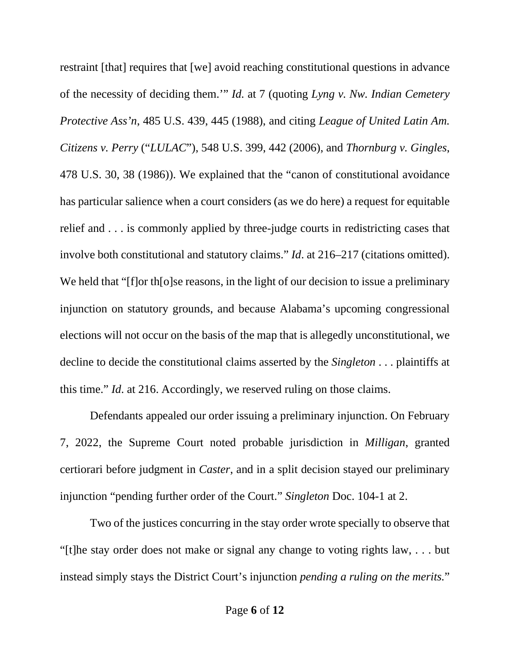restraint [that] requires that [we] avoid reaching constitutional questions in advance of the necessity of deciding them.'" *Id.* at 7 (quoting *Lyng v. Nw. Indian Cemetery Protective Ass'n*, 485 U.S. 439, 445 (1988), and citing *League of United Latin Am. Citizens v. Perry* ("*LULAC*"), 548 U.S. 399, 442 (2006), and *Thornburg v. Gingles*, 478 U.S. 30, 38 (1986)). We explained that the "canon of constitutional avoidance has particular salience when a court considers (as we do here) a request for equitable relief and . . . is commonly applied by three-judge courts in redistricting cases that involve both constitutional and statutory claims." *Id*. at 216–217 (citations omitted). We held that "[f]or th[o]se reasons, in the light of our decision to issue a preliminary injunction on statutory grounds, and because Alabama's upcoming congressional elections will not occur on the basis of the map that is allegedly unconstitutional, we decline to decide the constitutional claims asserted by the *Singleton* . . . plaintiffs at this time." *Id*. at 216. Accordingly, we reserved ruling on those claims.

Defendants appealed our order issuing a preliminary injunction. On February 7, 2022, the Supreme Court noted probable jurisdiction in *Milligan*, granted certiorari before judgment in *Caster*, and in a split decision stayed our preliminary injunction "pending further order of the Court." *Singleton* Doc. 104-1 at 2.

Two of the justices concurring in the stay order wrote specially to observe that "[t]he stay order does not make or signal any change to voting rights law, . . . but instead simply stays the District Court's injunction *pending a ruling on the merits.*"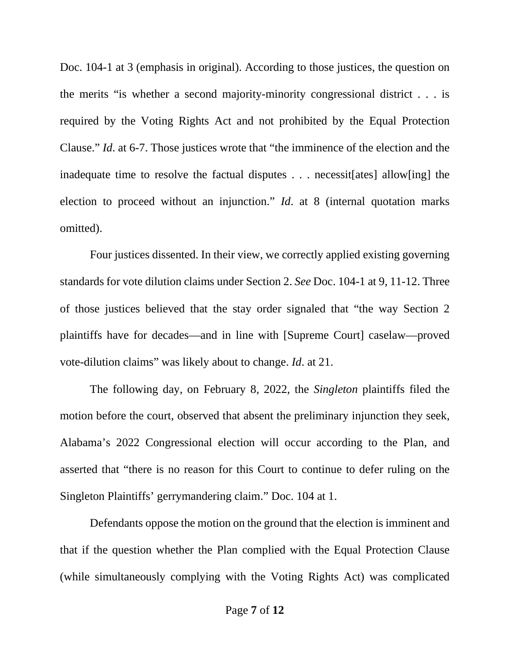Doc. 104-1 at 3 (emphasis in original). According to those justices, the question on the merits "is whether a second majority-minority congressional district . . . is required by the Voting Rights Act and not prohibited by the Equal Protection Clause." *Id*. at 6-7. Those justices wrote that "the imminence of the election and the inadequate time to resolve the factual disputes . . . necessit[ates] allow[ing] the election to proceed without an injunction." *Id*. at 8 (internal quotation marks omitted).

Four justices dissented. In their view, we correctly applied existing governing standards for vote dilution claims under Section 2. *See* Doc. 104-1 at 9, 11-12. Three of those justices believed that the stay order signaled that "the way Section 2 plaintiffs have for decades—and in line with [Supreme Court] caselaw—proved vote-dilution claims" was likely about to change. *Id*. at 21.

The following day, on February 8, 2022, the *Singleton* plaintiffs filed the motion before the court, observed that absent the preliminary injunction they seek, Alabama's 2022 Congressional election will occur according to the Plan, and asserted that "there is no reason for this Court to continue to defer ruling on the Singleton Plaintiffs' gerrymandering claim." Doc. 104 at 1.

Defendants oppose the motion on the ground that the election is imminent and that if the question whether the Plan complied with the Equal Protection Clause (while simultaneously complying with the Voting Rights Act) was complicated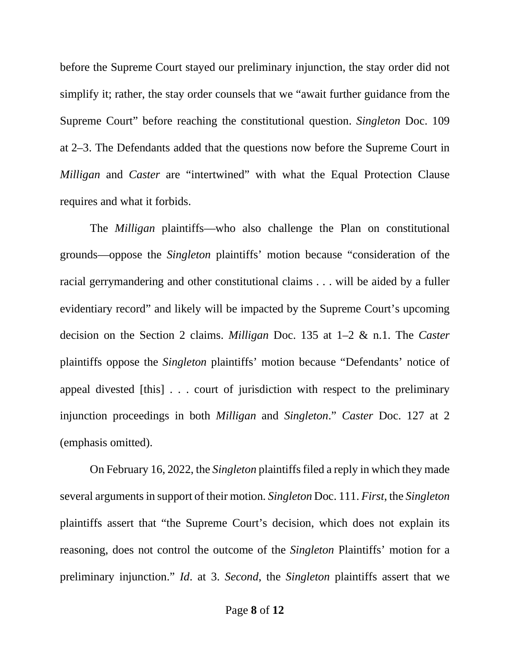before the Supreme Court stayed our preliminary injunction, the stay order did not simplify it; rather, the stay order counsels that we "await further guidance from the Supreme Court" before reaching the constitutional question. *Singleton* Doc. 109 at 2–3. The Defendants added that the questions now before the Supreme Court in *Milligan* and *Caster* are "intertwined" with what the Equal Protection Clause requires and what it forbids.

The *Milligan* plaintiffs—who also challenge the Plan on constitutional grounds—oppose the *Singleton* plaintiffs' motion because "consideration of the racial gerrymandering and other constitutional claims . . . will be aided by a fuller evidentiary record" and likely will be impacted by the Supreme Court's upcoming decision on the Section 2 claims. *Milligan* Doc. 135 at 1–2 & n.1. The *Caster* plaintiffs oppose the *Singleton* plaintiffs' motion because "Defendants' notice of appeal divested [this] . . . court of jurisdiction with respect to the preliminary injunction proceedings in both *Milligan* and *Singleton*." *Caster* Doc. 127 at 2 (emphasis omitted).

On February 16, 2022, the *Singleton* plaintiffs filed a reply in which they made several arguments in support of their motion. *Singleton* Doc. 111. *First*, the *Singleton* plaintiffs assert that "the Supreme Court's decision, which does not explain its reasoning, does not control the outcome of the *Singleton* Plaintiffs' motion for a preliminary injunction." *Id*. at 3. *Second*, the *Singleton* plaintiffs assert that we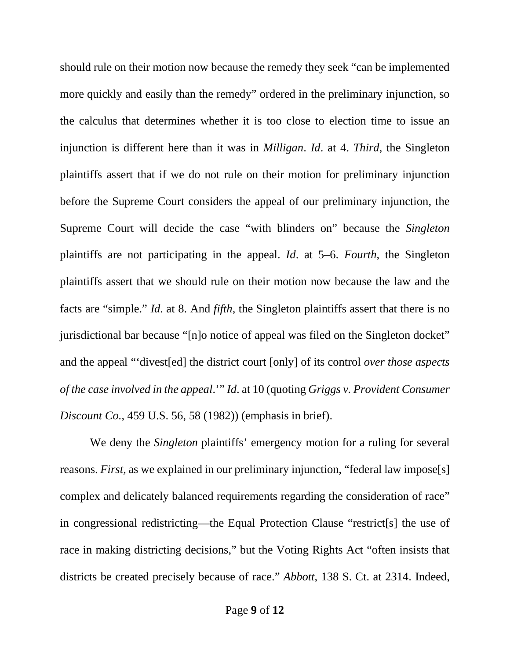should rule on their motion now because the remedy they seek "can be implemented more quickly and easily than the remedy" ordered in the preliminary injunction, so the calculus that determines whether it is too close to election time to issue an injunction is different here than it was in *Milligan*. *Id*. at 4. *Third*, the Singleton plaintiffs assert that if we do not rule on their motion for preliminary injunction before the Supreme Court considers the appeal of our preliminary injunction, the Supreme Court will decide the case "with blinders on" because the *Singleton* plaintiffs are not participating in the appeal. *Id*. at 5–6. *Fourth*, the Singleton plaintiffs assert that we should rule on their motion now because the law and the facts are "simple." *Id*. at 8. And *fifth*, the Singleton plaintiffs assert that there is no jurisdictional bar because "[n]o notice of appeal was filed on the Singleton docket" and the appeal "'divest[ed] the district court [only] of its control *over those aspects of the case involved in the appeal*.'" *Id*. at 10 (quoting *Griggs v. Provident Consumer Discount Co.*, 459 U.S. 56, 58 (1982)) (emphasis in brief).

We deny the *Singleton* plaintiffs' emergency motion for a ruling for several reasons. *First*, as we explained in our preliminary injunction, "federal law impose[s] complex and delicately balanced requirements regarding the consideration of race" in congressional redistricting—the Equal Protection Clause "restrict[s] the use of race in making districting decisions," but the Voting Rights Act "often insists that districts be created precisely because of race." *Abbott*, 138 S. Ct. at 2314. Indeed,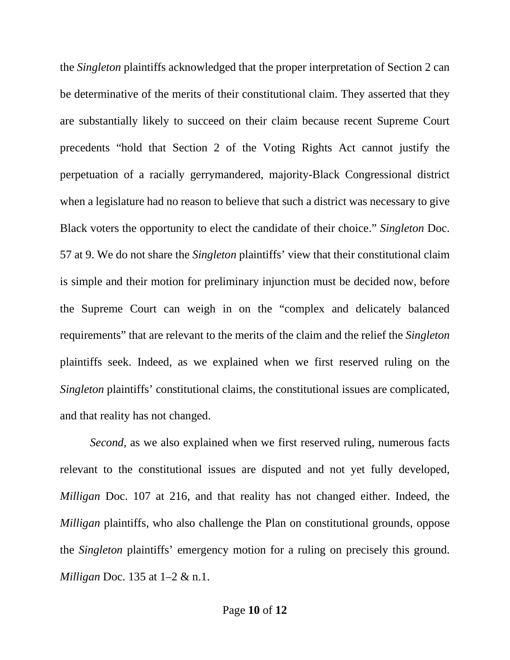the *Singleton* plaintiffs acknowledged that the proper interpretation of Section 2 can be determinative of the merits of their constitutional claim. They asserted that they are substantially likely to succeed on their claim because recent Supreme Court precedents "hold that Section 2 of the Voting Rights Act cannot justify the perpetuation of a racially gerrymandered, majority-Black Congressional district when a legislature had no reason to believe that such a district was necessary to give Black voters the opportunity to elect the candidate of their choice." *Singleton* Doc. 57 at 9. We do not share the *Singleton* plaintiffs' view that their constitutional claim is simple and their motion for preliminary injunction must be decided now, before the Supreme Court can weigh in on the "complex and delicately balanced requirements" that are relevant to the merits of the claim and the relief the *Singleton* plaintiffs seek. Indeed, as we explained when we first reserved ruling on the *Singleton* plaintiffs' constitutional claims, the constitutional issues are complicated, and that reality has not changed.

*Second*, as we also explained when we first reserved ruling, numerous facts relevant to the constitutional issues are disputed and not yet fully developed, *Milligan* Doc. 107 at 216, and that reality has not changed either. Indeed, the *Milligan* plaintiffs, who also challenge the Plan on constitutional grounds, oppose the *Singleton* plaintiffs' emergency motion for a ruling on precisely this ground. *Milligan* Doc. 135 at 1–2 & n.1.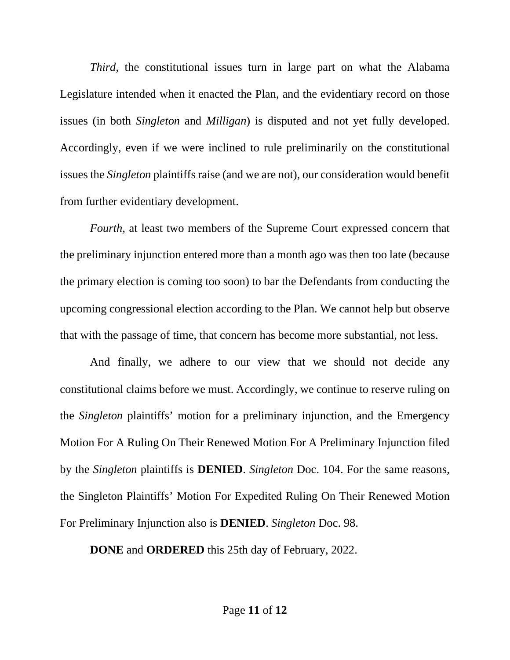*Third*, the constitutional issues turn in large part on what the Alabama Legislature intended when it enacted the Plan, and the evidentiary record on those issues (in both *Singleton* and *Milligan*) is disputed and not yet fully developed. Accordingly, even if we were inclined to rule preliminarily on the constitutional issues the *Singleton* plaintiffs raise (and we are not), our consideration would benefit from further evidentiary development.

*Fourth*, at least two members of the Supreme Court expressed concern that the preliminary injunction entered more than a month ago was then too late (because the primary election is coming too soon) to bar the Defendants from conducting the upcoming congressional election according to the Plan. We cannot help but observe that with the passage of time, that concern has become more substantial, not less.

And finally, we adhere to our view that we should not decide any constitutional claims before we must. Accordingly, we continue to reserve ruling on the *Singleton* plaintiffs' motion for a preliminary injunction, and the Emergency Motion For A Ruling On Their Renewed Motion For A Preliminary Injunction filed by the *Singleton* plaintiffs is **DENIED**. *Singleton* Doc. 104. For the same reasons, the Singleton Plaintiffs' Motion For Expedited Ruling On Their Renewed Motion For Preliminary Injunction also is **DENIED**. *Singleton* Doc. 98.

**DONE** and **ORDERED** this 25th day of February, 2022.